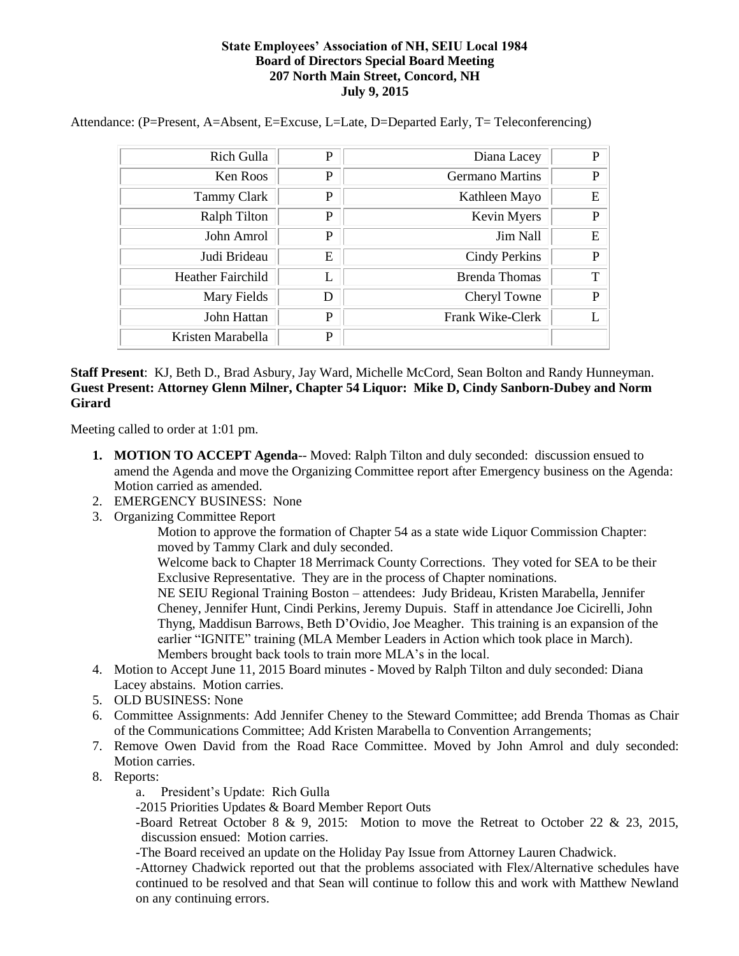## **State Employees' Association of NH, SEIU Local 1984 Board of Directors Special Board Meeting 207 North Main Street, Concord, NH July 9, 2015**

| Rich Gulla               | P | Diana Lacey            | P |
|--------------------------|---|------------------------|---|
| Ken Roos                 | P | <b>Germano Martins</b> | P |
| <b>Tammy Clark</b>       | P | Kathleen Mayo          | Ε |
| <b>Ralph Tilton</b>      | P | Kevin Myers            | P |
| John Amrol               | P | Jim Nall               | E |
| Judi Brideau             | E | <b>Cindy Perkins</b>   | P |
| <b>Heather Fairchild</b> |   | <b>Brenda Thomas</b>   | T |
| Mary Fields              | D | Cheryl Towne           | P |
| John Hattan              | P | Frank Wike-Clerk       |   |
| Kristen Marabella        | P |                        |   |

Attendance: (P=Present, A=Absent, E=Excuse, L=Late, D=Departed Early, T= Teleconferencing)

## **Staff Present**: KJ, Beth D., Brad Asbury, Jay Ward, Michelle McCord, Sean Bolton and Randy Hunneyman. **Guest Present: Attorney Glenn Milner, Chapter 54 Liquor: Mike D, Cindy Sanborn-Dubey and Norm Girard**

Meeting called to order at 1:01 pm.

- **1. MOTION TO ACCEPT Agenda**-- Moved: Ralph Tilton and duly seconded: discussion ensued to amend the Agenda and move the Organizing Committee report after Emergency business on the Agenda: Motion carried as amended.
- 2. EMERGENCY BUSINESS: None
- 3. Organizing Committee Report

Motion to approve the formation of Chapter 54 as a state wide Liquor Commission Chapter: moved by Tammy Clark and duly seconded.

Welcome back to Chapter 18 Merrimack County Corrections. They voted for SEA to be their Exclusive Representative. They are in the process of Chapter nominations.

NE SEIU Regional Training Boston – attendees: Judy Brideau, Kristen Marabella, Jennifer Cheney, Jennifer Hunt, Cindi Perkins, Jeremy Dupuis. Staff in attendance Joe Cicirelli, John Thyng, Maddisun Barrows, Beth D'Ovidio, Joe Meagher. This training is an expansion of the earlier "IGNITE" training (MLA Member Leaders in Action which took place in March). Members brought back tools to train more MLA's in the local.

- 4. Motion to Accept June 11, 2015 Board minutes Moved by Ralph Tilton and duly seconded: Diana Lacey abstains. Motion carries.
- 5. OLD BUSINESS: None
- 6. Committee Assignments: Add Jennifer Cheney to the Steward Committee; add Brenda Thomas as Chair of the Communications Committee; Add Kristen Marabella to Convention Arrangements;
- 7. Remove Owen David from the Road Race Committee. Moved by John Amrol and duly seconded: Motion carries.
- 8. Reports:
	- a. President's Update: Rich Gulla

-2015 Priorities Updates & Board Member Report Outs

-Board Retreat October 8 & 9, 2015: Motion to move the Retreat to October 22 & 23, 2015, discussion ensued: Motion carries.

-The Board received an update on the Holiday Pay Issue from Attorney Lauren Chadwick.

-Attorney Chadwick reported out that the problems associated with Flex/Alternative schedules have continued to be resolved and that Sean will continue to follow this and work with Matthew Newland on any continuing errors.